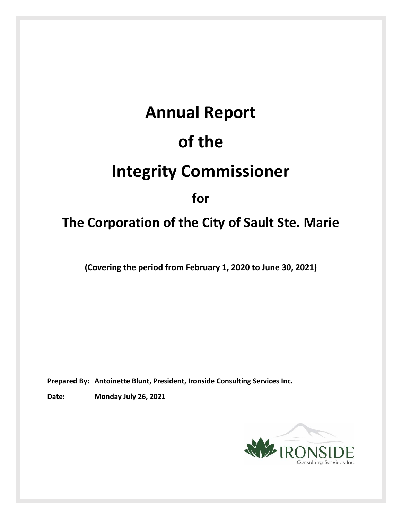# **Annual Report of the Integrity Commissioner for**

## **The Corporation of the City of Sault Ste. Marie**

**(Covering the period from February 1, 2020 to June 30, 2021)**

**Prepared By: Antoinette Blunt, President, Ironside Consulting Services Inc.**

**Date: Monday July 26, 2021**

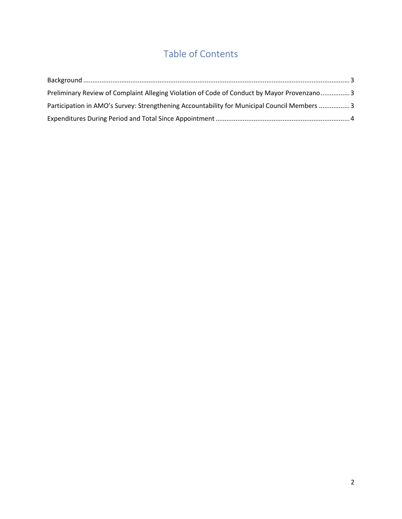## Table of Contents

| Preliminary Review of Complaint Alleging Violation of Code of Conduct by Mayor Provenzano3  |  |
|---------------------------------------------------------------------------------------------|--|
| Participation in AMO's Survey: Strengthening Accountability for Municipal Council Members 3 |  |
|                                                                                             |  |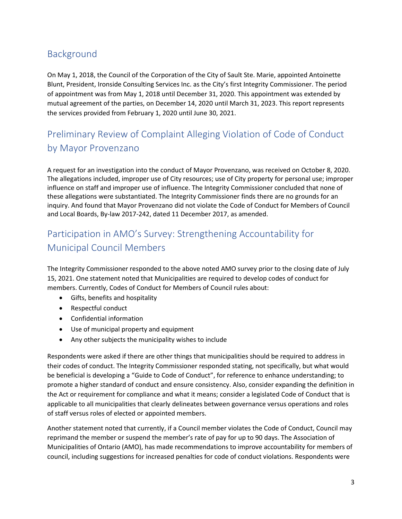#### <span id="page-2-0"></span>Background

On May 1, 2018, the Council of the Corporation of the City of Sault Ste. Marie, appointed Antoinette Blunt, President, Ironside Consulting Services Inc. as the City's first Integrity Commissioner. The period of appointment was from May 1, 2018 until December 31, 2020. This appointment was extended by mutual agreement of the parties, on December 14, 2020 until March 31, 2023. This report represents the services provided from February 1, 2020 until June 30, 2021.

### <span id="page-2-1"></span>Preliminary Review of Complaint Alleging Violation of Code of Conduct by Mayor Provenzano

A request for an investigation into the conduct of Mayor Provenzano, was received on October 8, 2020. The allegations included, improper use of City resources; use of City property for personal use; improper influence on staff and improper use of influence. The Integrity Commissioner concluded that none of these allegations were substantiated. The Integrity Commissioner finds there are no grounds for an inquiry. And found that Mayor Provenzano did not violate the Code of Conduct for Members of Council and Local Boards, By-law 2017-242, dated 11 December 2017, as amended.

#### <span id="page-2-2"></span>Participation in AMO's Survey: Strengthening Accountability for Municipal Council Members

The Integrity Commissioner responded to the above noted AMO survey prior to the closing date of July 15, 2021. One statement noted that Municipalities are required to develop codes of conduct for members. Currently, Codes of Conduct for Members of Council rules about:

- Gifts, benefits and hospitality
- Respectful conduct
- Confidential information
- Use of municipal property and equipment
- Any other subjects the municipality wishes to include

Respondents were asked if there are other things that municipalities should be required to address in their codes of conduct. The Integrity Commissioner responded stating, not specifically, but what would be beneficial is developing a "Guide to Code of Conduct", for reference to enhance understanding; to promote a higher standard of conduct and ensure consistency. Also, consider expanding the definition in the Act or requirement for compliance and what it means; consider a legislated Code of Conduct that is applicable to all municipalities that clearly delineates between governance versus operations and roles of staff versus roles of elected or appointed members.

Another statement noted that currently, if a Council member violates the Code of Conduct, Council may reprimand the member or suspend the member's rate of pay for up to 90 days. The Association of Municipalities of Ontario (AMO), has made recommendations to improve accountability for members of council, including suggestions for increased penalties for code of conduct violations. Respondents were